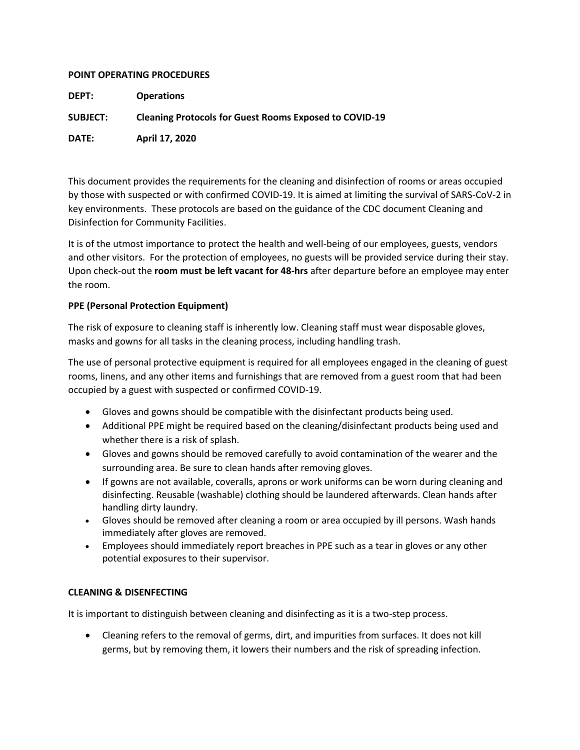## **POINT OPERATING PROCEDURES**

| <b>DEPT:</b> | <b>Operations</b> |
|--------------|-------------------|
|--------------|-------------------|

**SUBJECT: Cleaning Protocols for Guest Rooms Exposed to COVID-19**

**DATE: April 17, 2020**

This document provides the requirements for the cleaning and disinfection of rooms or areas occupied by those with suspected or with confirmed COVID-19. It is aimed at limiting the survival of SARS-CoV-2 in key environments. These protocols are based on the guidance of the CDC document Cleaning and Disinfection for Community Facilities.

It is of the utmost importance to protect the health and well-being of our employees, guests, vendors and other visitors. For the protection of employees, no guests will be provided service during their stay. Upon check-out the **room must be left vacant for 48-hrs** after departure before an employee may enter the room.

## **PPE (Personal Protection Equipment)**

The risk of exposure to cleaning staff is inherently low. Cleaning staff must wear disposable gloves, masks and gowns for all tasks in the cleaning process, including handling trash.

The use of personal protective equipment is required for all employees engaged in the cleaning of guest rooms, linens, and any other items and furnishings that are removed from a guest room that had been occupied by a guest with suspected or confirmed COVID-19.

- Gloves and gowns should be compatible with the disinfectant products being used.
- Additional PPE might be required based on the cleaning/disinfectant products being used and whether there is a risk of splash.
- Gloves and gowns should be removed carefully to avoid contamination of the wearer and the surrounding area. Be sure to clean hands after removing gloves.
- If gowns are not available, coveralls, aprons or work uniforms can be worn during cleaning and disinfecting. Reusable (washable) clothing should be laundered afterwards. Clean hands after handling dirty laundry.
- Gloves should be removed after cleaning a room or area occupied by ill persons. Wash hands immediately after gloves are removed.
- Employees should immediately report breaches in PPE such as a tear in gloves or any other potential exposures to their supervisor.

## **CLEANING & DISENFECTING**

It is important to distinguish between cleaning and disinfecting as it is a two-step process.

• Cleaning refers to the removal of germs, dirt, and impurities from surfaces. It does not kill germs, but by removing them, it lowers their numbers and the risk of spreading infection.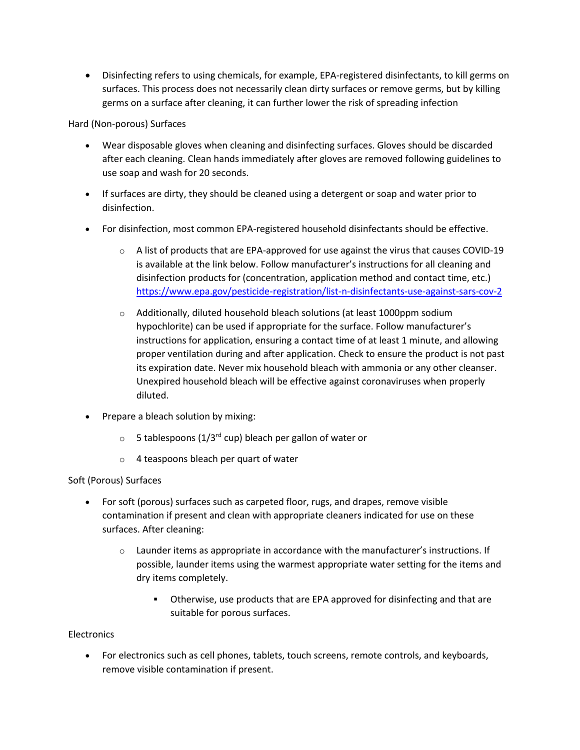• Disinfecting refers to using chemicals, for example, EPA-registered disinfectants, to kill germs on surfaces. This process does not necessarily clean dirty surfaces or remove germs, but by killing germs on a surface after cleaning, it can further lower the risk of spreading infection

Hard (Non-porous) Surfaces

- Wear disposable gloves when cleaning and disinfecting surfaces. Gloves should be discarded after each cleaning. Clean hands immediately after gloves are removed following guidelines to use soap and wash for 20 seconds.
- If surfaces are dirty, they should be cleaned using a detergent or soap and water prior to disinfection.
- For disinfection, most common EPA-registered household disinfectants should be effective.
	- $\circ$  A list of products that are EPA-approved for use against the virus that causes COVID-19 is available at the link below. Follow manufacturer's instructions for all cleaning and disinfection products for (concentration, application method and contact time, etc.) <https://www.epa.gov/pesticide-registration/list-n-disinfectants-use-against-sars-cov-2>
	- o Additionally, diluted household bleach solutions (at least 1000ppm sodium hypochlorite) can be used if appropriate for the surface. Follow manufacturer's instructions for application, ensuring a contact time of at least 1 minute, and allowing proper ventilation during and after application. Check to ensure the product is not past its expiration date. Never mix household bleach with ammonia or any other cleanser. Unexpired household bleach will be effective against coronaviruses when properly diluted.
- Prepare a bleach solution by mixing:
	- $\circ$  5 tablespoons (1/3<sup>rd</sup> cup) bleach per gallon of water or
	- o 4 teaspoons bleach per quart of water

# Soft (Porous) Surfaces

- For soft (porous) surfaces such as carpeted floor, rugs, and drapes, remove visible contamination if present and clean with appropriate cleaners indicated for use on these surfaces. After cleaning:
	- $\circ$  Launder items as appropriate in accordance with the manufacturer's instructions. If possible, launder items using the warmest appropriate water setting for the items and dry items completely.
		- Otherwise, use products that are EPA approved for disinfecting and that are suitable for porous surfaces.

## **Electronics**

• For electronics such as cell phones, tablets, touch screens, remote controls, and keyboards, remove visible contamination if present.